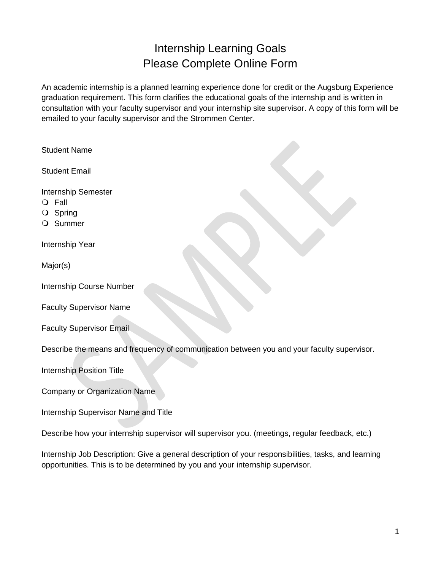## Internship Learning Goals Please Complete Online Form

An academic internship is a planned learning experience done for credit or the Augsburg Experience graduation requirement. This form clarifies the educational goals of the internship and is written in consultation with your faculty supervisor and your internship site supervisor. A copy of this form will be emailed to your faculty supervisor and the Strommen Center.

| <b>Student Name</b>                                                                                                                                                                    |
|----------------------------------------------------------------------------------------------------------------------------------------------------------------------------------------|
| <b>Student Email</b>                                                                                                                                                                   |
| <b>Internship Semester</b><br>Fall<br>$\circ$<br>O Spring<br>Summer                                                                                                                    |
| Internship Year                                                                                                                                                                        |
| Major(s)                                                                                                                                                                               |
| Internship Course Number                                                                                                                                                               |
| <b>Faculty Supervisor Name</b>                                                                                                                                                         |
| <b>Faculty Supervisor Email</b>                                                                                                                                                        |
| Describe the means and frequency of communication between you and your faculty supervisor.                                                                                             |
| <b>Internship Position Title</b>                                                                                                                                                       |
| <b>Company or Organization Name</b>                                                                                                                                                    |
| Internship Supervisor Name and Title                                                                                                                                                   |
| Describe how your internship supervisor will supervisor you. (meetings, regular feedback, etc.)                                                                                        |
| Internship Job Description: Give a general description of your responsibilities, tasks, and learning<br>opportunities. This is to be determined by you and your internship supervisor. |